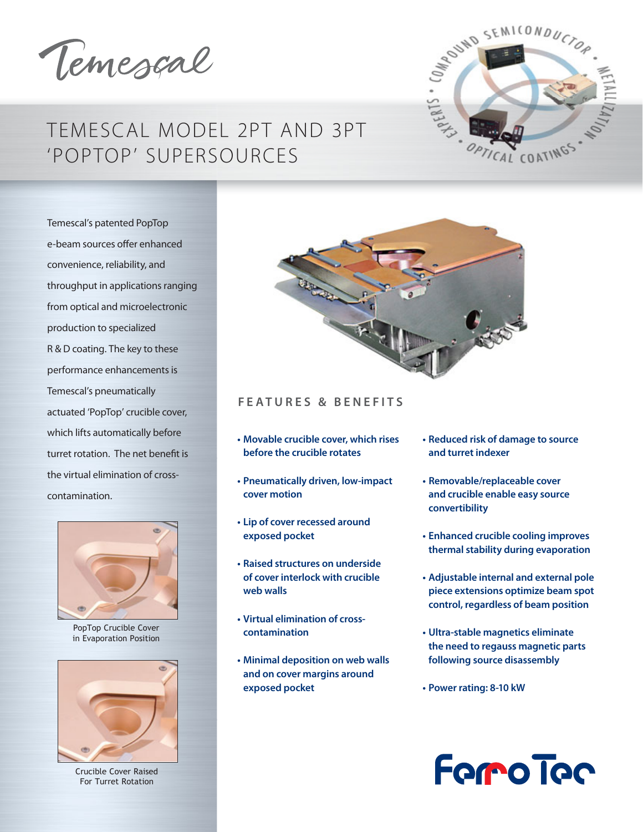Temescal

# TEMESCAL MODEL 2PT AND 3PT 'POPTOP' SUPERSOURCES

Temescal's patented PopTop e-beam sources offer enhanced convenience, reliability, and throughput in applications ranging from optical and microelectronic production to specialized R & D coating. The key to these performance enhancements is Temescal's pneumatically actuated 'PopTop' crucible cover, which lifts automatically before turret rotation. The net benefit is the virtual elimination of crosscontamination.



PopTop Crucible Cover in Evaporation Position



Crucible Cover Raised For Turret Rotation





# **FEATURES & BENEFITS**

- **Movable crucible cover, which rises before the crucible rotates**
- **Pneumatically driven, low-impact COVET MOTION**
- **the Up of cover recessed around** exposed pocket
- **Example 1 State of the Example 15 Fe** France en average and the Rider **ps** of cover interlock with crucible **web walls**
- **Virtual elimination of cross-COntamination**
- **Minimal deposition on web walls** and on cover margins around **exposed pocket**
- **Reduced risk of damage to source** and turret indexer
- **Removable/replaceable cover** and crucible enable easy source **convertibility**
- **Enhanced crucible cooling improves** thermal stability during evaporation
- **Adjustable internal and external pole** piece extensions optimize beam spot control, regardless of beam position
- **Ultra-stable magnetics eliminate** the need to regauss magnetic parts following source disassembly
- **Power rating: 8-10 kW**

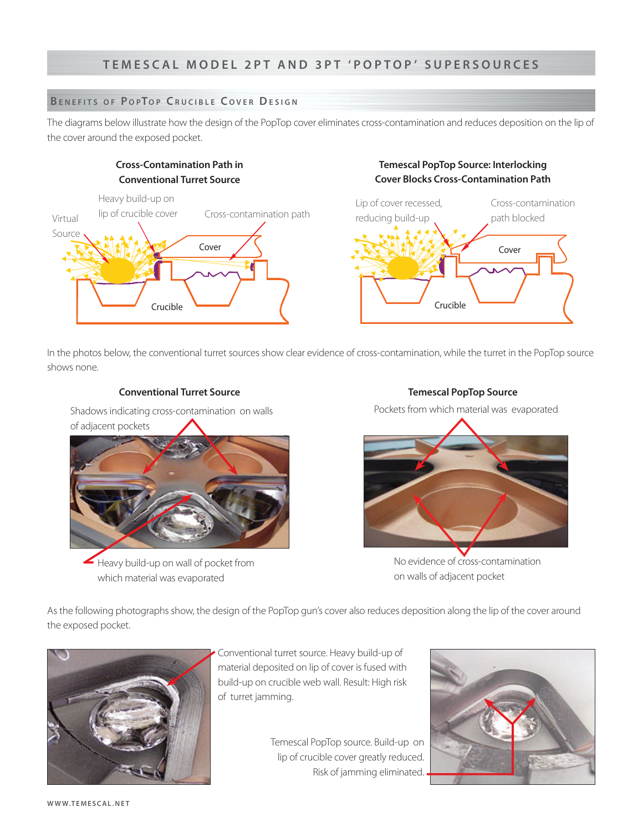# **BENEFITS OF POPTOP CRUCIBLE COVER DESIGN**

The diagrams below illustrate how the design of the PopTop cover eliminates cross-contamination and reduces deposition on the lip of the cover around the exposed pocket.

# **Cross-Contamination Path in Conventional Turret Source**



# **Temescal PopTop Source: Interlocking Cover Blocks Cross-Contamination Path**



In the photos below, the conventional turret sources show clear evidence of cross-contamination, while the turret in the PopTop source shows none.

# **Conventional Turret Source Set All and Source Set All and Source Set All and Source Set All and Source Set All and Source Set All and Source Set All and Source Set All and Source Set All and Source Set All and Source Set**

Shadows indicating cross-contamination on walls of adjacent pockets



Heavy build-up on wall of pocket from which material was evaporated

Pockets from which material was evaporated



No evidence of cross-contamination on walls of adjacent pocket

As the following photographs show, the design of the PopTop gun's cover also reduces deposition along the lip of the cover around the exposed pocket.



Conventional turret source. Heavy build-up of material deposited on lip of cover is fused with build-up on crucible web wall. Result: High risk of turret jamming.

> Temescal PopTop source. Build-up on lip of crucible cover greatly reduced. Risk of jamming eliminated.

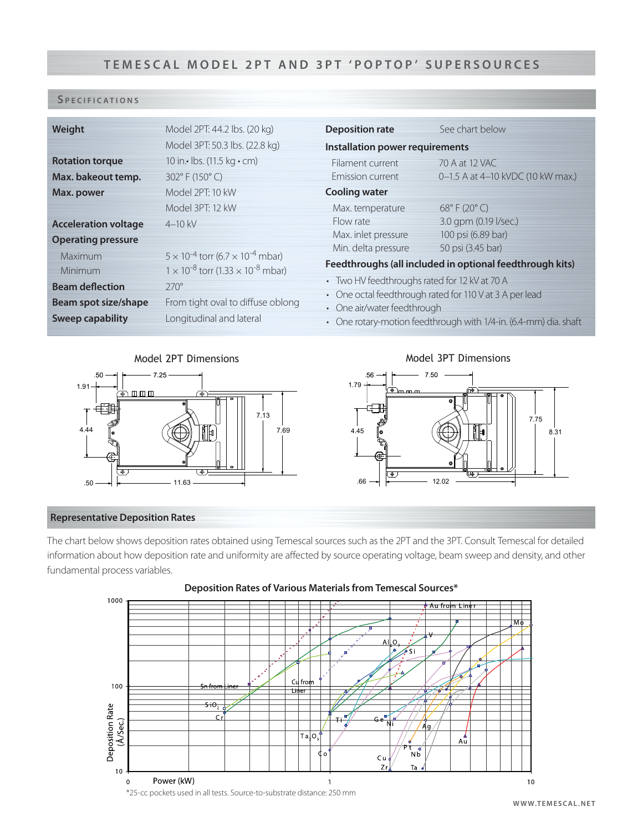# TEMESCAL MODEL 2PT AND 3PT 'POPTOP' SUPERSOURCES

# **S PECIFICATIONS**

| Weight                                                                      | Model 2PT: 44.2 lbs. (20 kg)<br>Model 3PT: 50.3 lbs. (22.8 kg)                                                                                                                    | <b>Deposition rate</b><br>Installation power requirements                                                                                                            | See chart below                                                                                      |
|-----------------------------------------------------------------------------|-----------------------------------------------------------------------------------------------------------------------------------------------------------------------------------|----------------------------------------------------------------------------------------------------------------------------------------------------------------------|------------------------------------------------------------------------------------------------------|
| <b>Rotation torque</b><br>Max. bakeout temp.<br>Max. power                  | 10 in. • lbs. (11.5 kg · cm)<br>302°F (150°C)<br>Model 2PT: 10 kW                                                                                                                 | Filament current<br>Emission current<br><b>Cooling water</b>                                                                                                         | 70 A at 12 VAC<br>0-1.5 A at 4-10 kVDC (10 kW max.)                                                  |
| <b>Acceleration voltage</b><br><b>Operating pressure</b>                    | Model 3PT: 12 kW<br>$4 - 10$ kV                                                                                                                                                   | Max. temperature<br>Flow rate<br>Max. inlet pressure<br>Min. delta pressure                                                                                          | $68^{\circ}$ F (20 $^{\circ}$ C)<br>3.0 gpm (0.19 l/sec.)<br>100 psi (6.89 bar)<br>50 psi (3.45 bar) |
| Maximum<br><b>Minimum</b><br><b>Beam deflection</b><br>Beam spot size/shape | $5 \times 10^{-4}$ torr (6.7 $\times$ 10 <sup>-4</sup> mbar)<br>$1 \times 10^{-8}$ torr (1.33 $\times$ 10 <sup>-8</sup> mbar)<br>$270^\circ$<br>From tight oval to diffuse oblong | Feedthroughs (all included in optional feedthrough kits)<br>• Two HV feedthroughs rated for 12 kV at 70 A<br>• One octal feedthrough rated for 110 V at 3 A per lead |                                                                                                      |
| <b>Sweep capability</b>                                                     | Longitudinal and lateral                                                                                                                                                          | • One air/water feedthrough<br>• One rotary-motion feedthrough with 1/4-in. (6.4-mm) dia. shaft                                                                      |                                                                                                      |

1.79

.56



 $\overline{\mathbb{Q}}$ 





# **Representative Deposition Rates**

رچا

.50 11.63

The chart below shows deposition rates obtained using Temescal sources such as the 2PT and the 3PT. Consult Temescal for detailed information about how deposition rate and uniformity are affected by source operating voltage, beam sweep and density, and other fundamental process variables.



# Deposition Rates of Various Materials from Temescal Sources\*